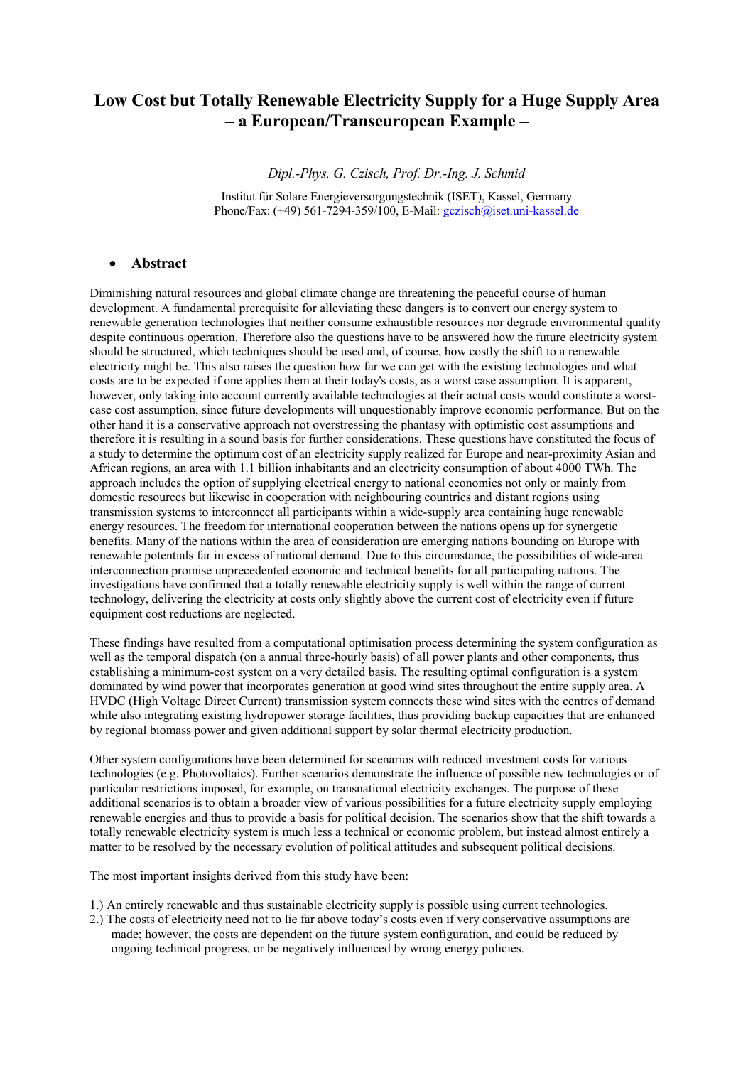# **Low Cost but Totally Renewable Electricity Supply for a Huge Supply Area – a European/Transeuropean Example –**

*Dipl.-Phys. G. Czisch, Prof. Dr.-Ing. J. Schmid* 

Institut für Solare Energieversorgungstechnik (ISET), Kassel, Germany Phone/Fax: (+49) 561-7294-359/100, E-Mail: [gczisch@iset.uni-kassel.de](mailto:gczisch@iset.uni-kassel.de)

### • **Abstract**

Diminishing natural resources and global climate change are threatening the peaceful course of human development. A fundamental prerequisite for alleviating these dangers is to convert our energy system to renewable generation technologies that neither consume exhaustible resources nor degrade environmental quality despite continuous operation. Therefore also the questions have to be answered how the future electricity system should be structured, which techniques should be used and, of course, how costly the shift to a renewable electricity might be. This also raises the question how far we can get with the existing technologies and what costs are to be expected if one applies them at their today's costs, as a worst case assumption. It is apparent, however, only taking into account currently available technologies at their actual costs would constitute a worstcase cost assumption, since future developments will unquestionably improve economic performance. But on the other hand it is a conservative approach not overstressing the phantasy with optimistic cost assumptions and therefore it is resulting in a sound basis for further considerations. These questions have constituted the focus of a study to determine the optimum cost of an electricity supply realized for Europe and near-proximity Asian and African regions, an area with 1.1 billion inhabitants and an electricity consumption of about 4000 TWh. The approach includes the option of supplying electrical energy to national economies not only or mainly from domestic resources but likewise in cooperation with neighbouring countries and distant regions using transmission systems to interconnect all participants within a wide-supply area containing huge renewable energy resources. The freedom for international cooperation between the nations opens up for synergetic benefits. Many of the nations within the area of consideration are emerging nations bounding on Europe with renewable potentials far in excess of national demand. Due to this circumstance, the possibilities of wide-area interconnection promise unprecedented economic and technical benefits for all participating nations. The investigations have confirmed that a totally renewable electricity supply is well within the range of current technology, delivering the electricity at costs only slightly above the current cost of electricity even if future equipment cost reductions are neglected.

These findings have resulted from a computational optimisation process determining the system configuration as well as the temporal dispatch (on a annual three-hourly basis) of all power plants and other components, thus establishing a minimum-cost system on a very detailed basis. The resulting optimal configuration is a system dominated by wind power that incorporates generation at good wind sites throughout the entire supply area. A HVDC (High Voltage Direct Current) transmission system connects these wind sites with the centres of demand while also integrating existing hydropower storage facilities, thus providing backup capacities that are enhanced by regional biomass power and given additional support by solar thermal electricity production.

Other system configurations have been determined for scenarios with reduced investment costs for various technologies (e.g. Photovoltaics). Further scenarios demonstrate the influence of possible new technologies or of particular restrictions imposed, for example, on transnational electricity exchanges. The purpose of these additional scenarios is to obtain a broader view of various possibilities for a future electricity supply employing renewable energies and thus to provide a basis for political decision. The scenarios show that the shift towards a totally renewable electricity system is much less a technical or economic problem, but instead almost entirely a matter to be resolved by the necessary evolution of political attitudes and subsequent political decisions.

The most important insights derived from this study have been:

- 1.) An entirely renewable and thus sustainable electricity supply is possible using current technologies.
- 2.) The costs of electricity need not to lie far above today's costs even if very conservative assumptions are made; however, the costs are dependent on the future system configuration, and could be reduced by ongoing technical progress, or be negatively influenced by wrong energy policies.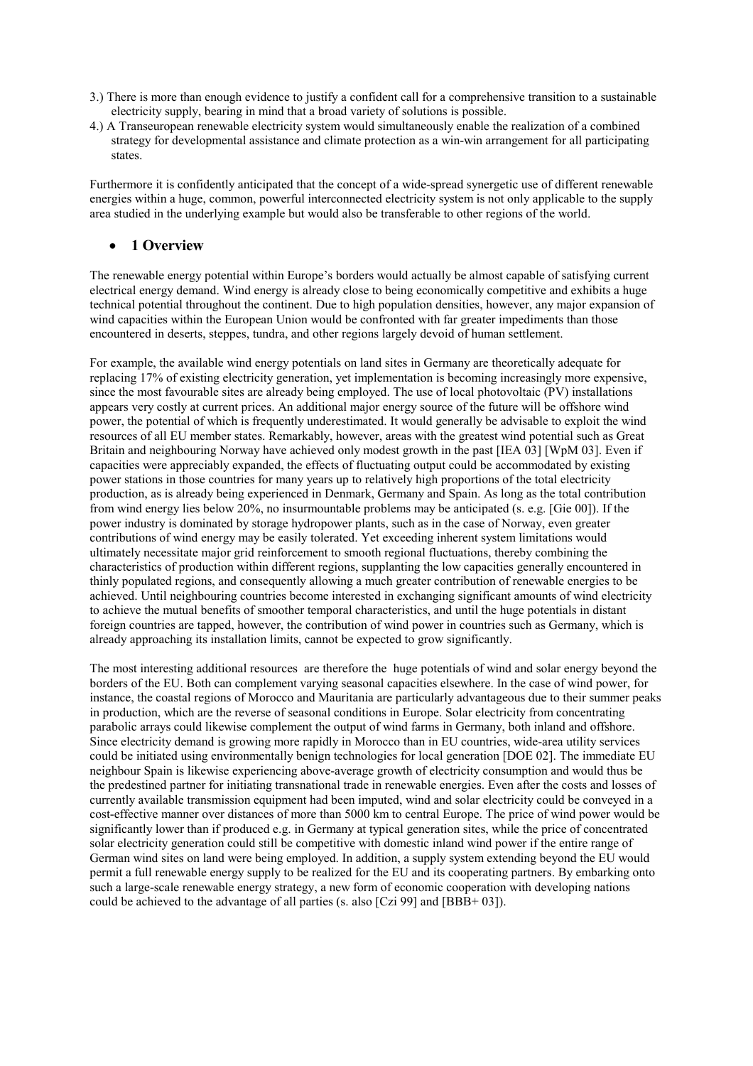- 3.) There is more than enough evidence to justify a confident call for a comprehensive transition to a sustainable electricity supply, bearing in mind that a broad variety of solutions is possible.
- 4.) A Transeuropean renewable electricity system would simultaneously enable the realization of a combined strategy for developmental assistance and climate protection as a win-win arrangement for all participating states.

Furthermore it is confidently anticipated that the concept of a wide-spread synergetic use of different renewable energies within a huge, common, powerful interconnected electricity system is not only applicable to the supply area studied in the underlying example but would also be transferable to other regions of the world.

# • **1 Overview**

The renewable energy potential within Europe's borders would actually be almost capable of satisfying current electrical energy demand. Wind energy is already close to being economically competitive and exhibits a huge technical potential throughout the continent. Due to high population densities, however, any major expansion of wind capacities within the European Union would be confronted with far greater impediments than those encountered in deserts, steppes, tundra, and other regions largely devoid of human settlement.

For example, the available wind energy potentials on land sites in Germany are theoretically adequate for replacing 17% of existing electricity generation, yet implementation is becoming increasingly more expensive, since the most favourable sites are already being employed. The use of local photovoltaic (PV) installations appears very costly at current prices. An additional major energy source of the future will be offshore wind power, the potential of which is frequently underestimated. It would generally be advisable to exploit the wind resources of all EU member states. Remarkably, however, areas with the greatest wind potential such as Great Britain and neighbouring Norway have achieved only modest growth in the past [IEA 03] [WpM 03]. Even if capacities were appreciably expanded, the effects of fluctuating output could be accommodated by existing power stations in those countries for many years up to relatively high proportions of the total electricity production, as is already being experienced in Denmark, Germany and Spain. As long as the total contribution from wind energy lies below 20%, no insurmountable problems may be anticipated (s. e.g. [Gie 00]). If the power industry is dominated by storage hydropower plants, such as in the case of Norway, even greater contributions of wind energy may be easily tolerated. Yet exceeding inherent system limitations would ultimately necessitate major grid reinforcement to smooth regional fluctuations, thereby combining the characteristics of production within different regions, supplanting the low capacities generally encountered in thinly populated regions, and consequently allowing a much greater contribution of renewable energies to be achieved. Until neighbouring countries become interested in exchanging significant amounts of wind electricity to achieve the mutual benefits of smoother temporal characteristics, and until the huge potentials in distant foreign countries are tapped, however, the contribution of wind power in countries such as Germany, which is already approaching its installation limits, cannot be expected to grow significantly.

The most interesting additional resources are therefore the huge potentials of wind and solar energy beyond the borders of the EU. Both can complement varying seasonal capacities elsewhere. In the case of wind power, for instance, the coastal regions of Morocco and Mauritania are particularly advantageous due to their summer peaks in production, which are the reverse of seasonal conditions in Europe. Solar electricity from concentrating parabolic arrays could likewise complement the output of wind farms in Germany, both inland and offshore. Since electricity demand is growing more rapidly in Morocco than in EU countries, wide-area utility services could be initiated using environmentally benign technologies for local generation [DOE 02]. The immediate EU neighbour Spain is likewise experiencing above-average growth of electricity consumption and would thus be the predestined partner for initiating transnational trade in renewable energies. Even after the costs and losses of currently available transmission equipment had been imputed, wind and solar electricity could be conveyed in a cost-effective manner over distances of more than 5000 km to central Europe. The price of wind power would be significantly lower than if produced e.g. in Germany at typical generation sites, while the price of concentrated solar electricity generation could still be competitive with domestic inland wind power if the entire range of German wind sites on land were being employed. In addition, a supply system extending beyond the EU would permit a full renewable energy supply to be realized for the EU and its cooperating partners. By embarking onto such a large-scale renewable energy strategy, a new form of economic cooperation with developing nations could be achieved to the advantage of all parties (s. also [Czi 99] and [BBB+ 03]).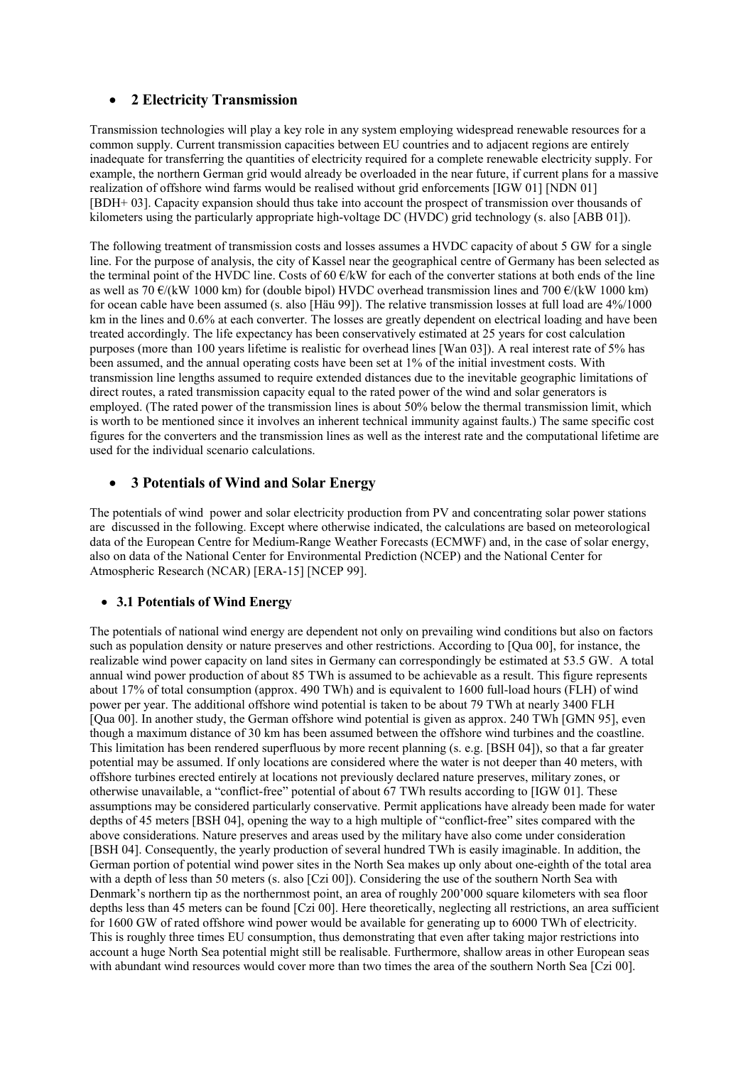# • **2 Electricity Transmission**

Transmission technologies will play a key role in any system employing widespread renewable resources for a common supply. Current transmission capacities between EU countries and to adjacent regions are entirely inadequate for transferring the quantities of electricity required for a complete renewable electricity supply. For example, the northern German grid would already be overloaded in the near future, if current plans for a massive realization of offshore wind farms would be realised without grid enforcements [IGW 01] [NDN 01] [BDH+ 03]. Capacity expansion should thus take into account the prospect of transmission over thousands of kilometers using the particularly appropriate high-voltage DC (HVDC) grid technology (s. also [ABB 01]).

The following treatment of transmission costs and losses assumes a HVDC capacity of about 5 GW for a single line. For the purpose of analysis, the city of Kassel near the geographical centre of Germany has been selected as the terminal point of the HVDC line. Costs of 60 €/kW for each of the converter stations at both ends of the line as well as 70  $\varepsilon$ /(kW 1000 km) for (double bipol) HVDC overhead transmission lines and 700  $\varepsilon$ /(kW 1000 km) for ocean cable have been assumed (s. also [Häu 99]). The relative transmission losses at full load are 4%/1000 km in the lines and 0.6% at each converter. The losses are greatly dependent on electrical loading and have been treated accordingly. The life expectancy has been conservatively estimated at 25 years for cost calculation purposes (more than 100 years lifetime is realistic for overhead lines [Wan 03]). A real interest rate of 5% has been assumed, and the annual operating costs have been set at 1% of the initial investment costs. With transmission line lengths assumed to require extended distances due to the inevitable geographic limitations of direct routes, a rated transmission capacity equal to the rated power of the wind and solar generators is employed. (The rated power of the transmission lines is about 50% below the thermal transmission limit, which is worth to be mentioned since it involves an inherent technical immunity against faults.) The same specific cost figures for the converters and the transmission lines as well as the interest rate and the computational lifetime are used for the individual scenario calculations.

# • **3 Potentials of Wind and Solar Energy**

The potentials of wind power and solar electricity production from PV and concentrating solar power stations are discussed in the following. Except where otherwise indicated, the calculations are based on meteorological data of the European Centre for Medium-Range Weather Forecasts (ECMWF) and, in the case of solar energy, also on data of the National Center for Environmental Prediction (NCEP) and the National Center for Atmospheric Research (NCAR) [ERA-15] [NCEP 99].

# • **3.1 Potentials of Wind Energy**

The potentials of national wind energy are dependent not only on prevailing wind conditions but also on factors such as population density or nature preserves and other restrictions. According to [Qua 00], for instance, the realizable wind power capacity on land sites in Germany can correspondingly be estimated at 53.5 GW. A total annual wind power production of about 85 TWh is assumed to be achievable as a result. This figure represents about 17% of total consumption (approx. 490 TWh) and is equivalent to 1600 full-load hours (FLH) of wind power per year. The additional offshore wind potential is taken to be about 79 TWh at nearly 3400 FLH [Qua 00]. In another study, the German offshore wind potential is given as approx. 240 TWh [GMN 95], even though a maximum distance of 30 km has been assumed between the offshore wind turbines and the coastline. This limitation has been rendered superfluous by more recent planning (s. e.g. [BSH 04]), so that a far greater potential may be assumed. If only locations are considered where the water is not deeper than 40 meters, with offshore turbines erected entirely at locations not previously declared nature preserves, military zones, or otherwise unavailable, a "conflict-free" potential of about 67 TWh results according to [IGW 01]. These assumptions may be considered particularly conservative. Permit applications have already been made for water depths of 45 meters [BSH 04], opening the way to a high multiple of "conflict-free" sites compared with the above considerations. Nature preserves and areas used by the military have also come under consideration [BSH 04]. Consequently, the yearly production of several hundred TWh is easily imaginable. In addition, the German portion of potential wind power sites in the North Sea makes up only about one-eighth of the total area with a depth of less than 50 meters (s. also [Czi 00]). Considering the use of the southern North Sea with Denmark's northern tip as the northernmost point, an area of roughly 200'000 square kilometers with sea floor depths less than 45 meters can be found [Czi 00]. Here theoretically, neglecting all restrictions, an area sufficient for 1600 GW of rated offshore wind power would be available for generating up to 6000 TWh of electricity. This is roughly three times EU consumption, thus demonstrating that even after taking major restrictions into account a huge North Sea potential might still be realisable. Furthermore, shallow areas in other European seas with abundant wind resources would cover more than two times the area of the southern North Sea [Czi 00].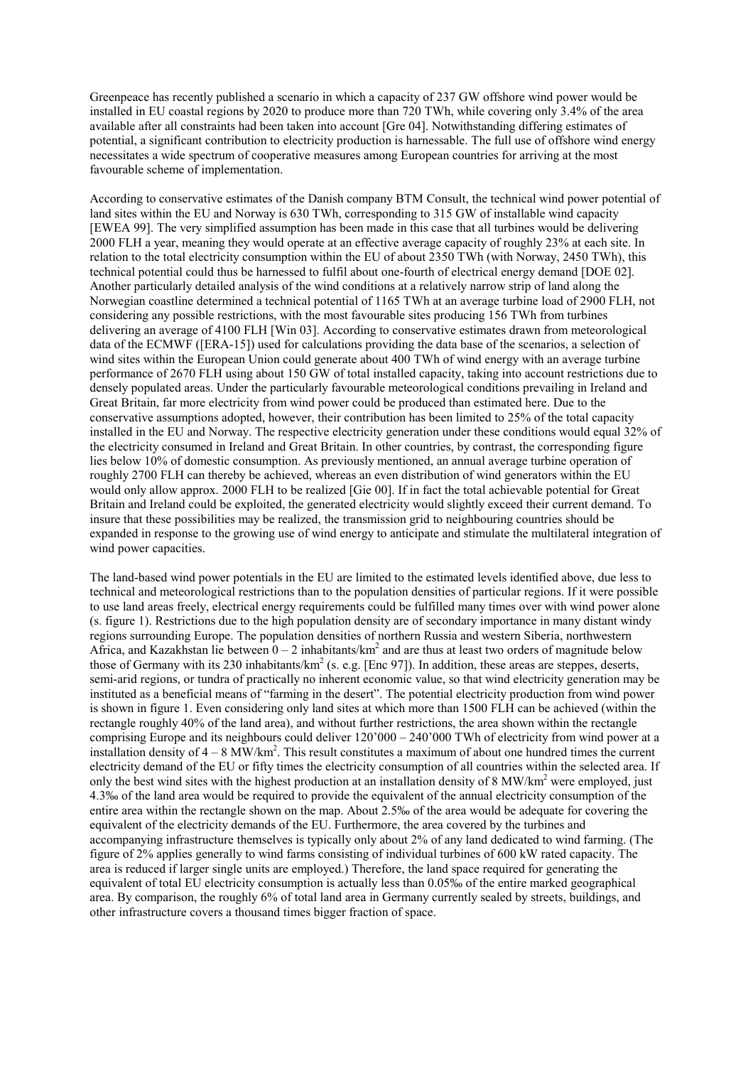Greenpeace has recently published a scenario in which a capacity of 237 GW offshore wind power would be installed in EU coastal regions by 2020 to produce more than 720 TWh, while covering only 3.4% of the area available after all constraints had been taken into account [Gre 04]. Notwithstanding differing estimates of potential, a significant contribution to electricity production is harnessable. The full use of offshore wind energy necessitates a wide spectrum of cooperative measures among European countries for arriving at the most favourable scheme of implementation.

According to conservative estimates of the Danish company BTM Consult, the technical wind power potential of land sites within the EU and Norway is 630 TWh, corresponding to 315 GW of installable wind capacity [EWEA 99]. The very simplified assumption has been made in this case that all turbines would be delivering 2000 FLH a year, meaning they would operate at an effective average capacity of roughly 23% at each site. In relation to the total electricity consumption within the EU of about 2350 TWh (with Norway, 2450 TWh), this technical potential could thus be harnessed to fulfil about one-fourth of electrical energy demand [DOE 02]. Another particularly detailed analysis of the wind conditions at a relatively narrow strip of land along the Norwegian coastline determined a technical potential of 1165 TWh at an average turbine load of 2900 FLH, not considering any possible restrictions, with the most favourable sites producing 156 TWh from turbines delivering an average of 4100 FLH [Win 03]. According to conservative estimates drawn from meteorological data of the ECMWF ([ERA-15]) used for calculations providing the data base of the scenarios, a selection of wind sites within the European Union could generate about 400 TWh of wind energy with an average turbine performance of 2670 FLH using about 150 GW of total installed capacity, taking into account restrictions due to densely populated areas. Under the particularly favourable meteorological conditions prevailing in Ireland and Great Britain, far more electricity from wind power could be produced than estimated here. Due to the conservative assumptions adopted, however, their contribution has been limited to 25% of the total capacity installed in the EU and Norway. The respective electricity generation under these conditions would equal 32% of the electricity consumed in Ireland and Great Britain. In other countries, by contrast, the corresponding figure lies below 10% of domestic consumption. As previously mentioned, an annual average turbine operation of roughly 2700 FLH can thereby be achieved, whereas an even distribution of wind generators within the EU would only allow approx. 2000 FLH to be realized [Gie 00]. If in fact the total achievable potential for Great Britain and Ireland could be exploited, the generated electricity would slightly exceed their current demand. To insure that these possibilities may be realized, the transmission grid to neighbouring countries should be expanded in response to the growing use of wind energy to anticipate and stimulate the multilateral integration of wind power capacities.

The land-based wind power potentials in the EU are limited to the estimated levels identified above, due less to technical and meteorological restrictions than to the population densities of particular regions. If it were possible to use land areas freely, electrical energy requirements could be fulfilled many times over with wind power alone (s. figure 1). Restrictions due to the high population density are of secondary importance in many distant windy regions surrounding Europe. The population densities of northern Russia and western Siberia, northwestern Africa, and Kazakhstan lie between  $0 - 2$  inhabitants/km<sup>2</sup> and are thus at least two orders of magnitude below those of Germany with its 230 inhabitants/ $km^2$  (s. e.g. [Enc 97]). In addition, these areas are steppes, deserts, semi-arid regions, or tundra of practically no inherent economic value, so that wind electricity generation may be instituted as a beneficial means of "farming in the desert". The potential electricity production from wind power is shown in figure 1. Even considering only land sites at which more than 1500 FLH can be achieved (within the rectangle roughly 40% of the land area), and without further restrictions, the area shown within the rectangle comprising Europe and its neighbours could deliver 120'000 – 240'000 TWh of electricity from wind power at a installation density of  $4-8$  MW/km<sup>2</sup>. This result constitutes a maximum of about one hundred times the current electricity demand of the EU or fifty times the electricity consumption of all countries within the selected area. If only the best wind sites with the highest production at an installation density of 8 MW/km<sup>2</sup> were employed, just 4.3‰ of the land area would be required to provide the equivalent of the annual electricity consumption of the entire area within the rectangle shown on the map. About 2.5‰ of the area would be adequate for covering the equivalent of the electricity demands of the EU. Furthermore, the area covered by the turbines and accompanying infrastructure themselves is typically only about 2% of any land dedicated to wind farming. (The figure of 2% applies generally to wind farms consisting of individual turbines of 600 kW rated capacity. The area is reduced if larger single units are employed.) Therefore, the land space required for generating the equivalent of total EU electricity consumption is actually less than 0.05‰ of the entire marked geographical area. By comparison, the roughly 6% of total land area in Germany currently sealed by streets, buildings, and other infrastructure covers a thousand times bigger fraction of space.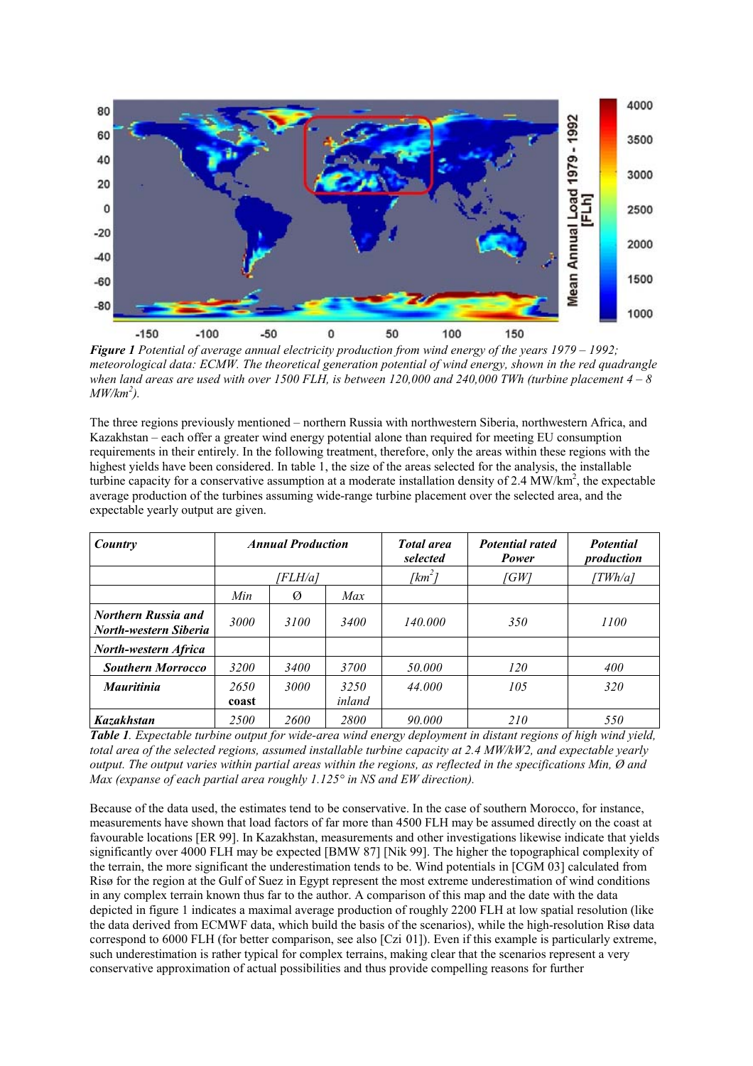

*Figure 1 Potential of average annual electricity production from wind energy of the years 1979 – 1992; meteorological data: ECMW. The theoretical generation potential of wind energy, shown in the red quadrangle when land areas are used with over 1500 FLH, is between 120,000 and 240,000 TWh (turbine placement 4 – 8 MW/km<sup>2</sup> ).* 

The three regions previously mentioned – northern Russia with northwestern Siberia, northwestern Africa, and Kazakhstan – each offer a greater wind energy potential alone than required for meeting EU consumption requirements in their entirely. In the following treatment, therefore, only the areas within these regions with the highest yields have been considered. In table 1, the size of the areas selected for the analysis, the installable turbine capacity for a conservative assumption at a moderate installation density of 2.4  $\text{MW/km}^2$ , the expectable average production of the turbines assuming wide-range turbine placement over the selected area, and the expectable yearly output are given.

| Country                                                    |               | <b>Annual Production</b> |                | <b>Total</b> area<br>selected | <b>Potential rated</b><br>Power | <b>Potential</b><br>production |  |  |
|------------------------------------------------------------|---------------|--------------------------|----------------|-------------------------------|---------------------------------|--------------------------------|--|--|
|                                                            |               | [FLH/a]                  |                | [ $km^2$ ]                    | 「GW1                            | TWh/a]                         |  |  |
|                                                            | Min           | Ø                        | Max            |                               |                                 |                                |  |  |
| <b>Northern Russia and</b><br><b>North-western Siberia</b> | 3000          | 3100                     | 3400           | 140.000                       | 350                             | 1100                           |  |  |
| <b>North-western Africa</b>                                |               |                          |                |                               |                                 |                                |  |  |
| <b>Southern Morrocco</b>                                   | 3200          | <i>3400</i>              | 3700           | 50.000                        | 120                             | 400                            |  |  |
| <b>Mauritinia</b>                                          | 2650<br>coast | <b>3000</b>              | 3250<br>inland | 44.000                        | 105                             | 320                            |  |  |
| <b>Kazakhstan</b>                                          | 2500          | 2600                     | 2800           | 90.000                        | 210                             | 550                            |  |  |

*Table 1. Expectable turbine output for wide-area wind energy deployment in distant regions of high wind yield, total area of the selected regions, assumed installable turbine capacity at 2.4 MW/kW2, and expectable yearly output. The output varies within partial areas within the regions, as reflected in the specifications Min, Ø and Max (expanse of each partial area roughly 1.125° in NS and EW direction).* 

Because of the data used, the estimates tend to be conservative. In the case of southern Morocco, for instance, measurements have shown that load factors of far more than 4500 FLH may be assumed directly on the coast at favourable locations [ER 99]. In Kazakhstan, measurements and other investigations likewise indicate that yields significantly over 4000 FLH may be expected [BMW 87] [Nik 99]. The higher the topographical complexity of the terrain, the more significant the underestimation tends to be. Wind potentials in [CGM 03] calculated from Risø for the region at the Gulf of Suez in Egypt represent the most extreme underestimation of wind conditions in any complex terrain known thus far to the author. A comparison of this map and the date with the data depicted in figure 1 indicates a maximal average production of roughly 2200 FLH at low spatial resolution (like the data derived from ECMWF data, which build the basis of the scenarios), while the high-resolution Risø data correspond to 6000 FLH (for better comparison, see also [Czi 01]). Even if this example is particularly extreme, such underestimation is rather typical for complex terrains, making clear that the scenarios represent a very conservative approximation of actual possibilities and thus provide compelling reasons for further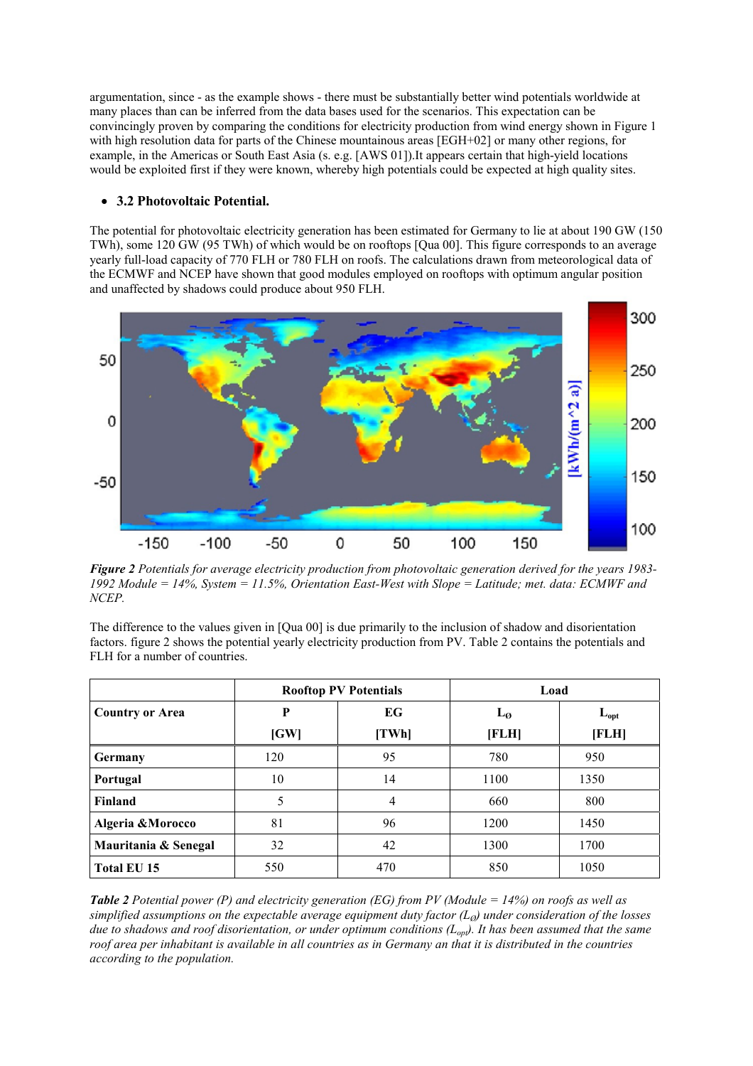argumentation, since - as the example shows - there must be substantially better wind potentials worldwide at many places than can be inferred from the data bases used for the scenarios. This expectation can be convincingly proven by comparing the conditions for electricity production from wind energy shown in Figure 1 with high resolution data for parts of the Chinese mountainous areas [EGH+02] or many other regions, for example, in the Americas or South East Asia (s. e.g. [AWS 01]).It appears certain that high-yield locations would be exploited first if they were known, whereby high potentials could be expected at high quality sites.

# • **3.2 Photovoltaic Potential.**

The potential for photovoltaic electricity generation has been estimated for Germany to lie at about 190 GW (150 TWh), some 120 GW (95 TWh) of which would be on rooftops [Qua 00]. This figure corresponds to an average yearly full-load capacity of 770 FLH or 780 FLH on roofs. The calculations drawn from meteorological data of the ECMWF and NCEP have shown that good modules employed on rooftops with optimum angular position and unaffected by shadows could produce about 950 FLH.



*Figure 2 Potentials for average electricity production from photovoltaic generation derived for the years 1983- 1992 Module = 14%, System = 11.5%, Orientation East-West with Slope = Latitude; met. data: ECMWF and NCEP.* 

The difference to the values given in [Qua 00] is due primarily to the inclusion of shadow and disorientation factors. figure 2 shows the potential yearly electricity production from PV. Table 2 contains the potentials and FLH for a number of countries.

|                        |      | <b>Rooftop PV Potentials</b> | Load              |           |  |  |
|------------------------|------|------------------------------|-------------------|-----------|--|--|
| <b>Country or Area</b> | P    | EG                           | $L_{\mathcal{O}}$ | $L_{opt}$ |  |  |
|                        | [GW] | [TWh]                        | [FLH]             | [FLH]     |  |  |
| Germany                | 120  | 95                           | 780               | 950       |  |  |
| Portugal               | 10   | 14                           | 1100              | 1350      |  |  |
| <b>Finland</b>         | 5    | 4                            | 660               | 800       |  |  |
| Algeria & Morocco      | 81   | 96                           | 1200              | 1450      |  |  |
| Mauritania & Senegal   | 32   | 42                           | 1300              | 1700      |  |  |
| Total EU 15            | 550  | 470                          | 850               | 1050      |  |  |

*Table 2 Potential power (P) and electricity generation (EG) from PV (Module = 14%) on roofs as well as simplified assumptions on the expectable average equipment duty factor*  $(L<sub>0</sub>)$  *under consideration of the losses due to shadows and roof disorientation, or under optimum conditions (Lopt). It has been assumed that the same roof area per inhabitant is available in all countries as in Germany an that it is distributed in the countries according to the population.*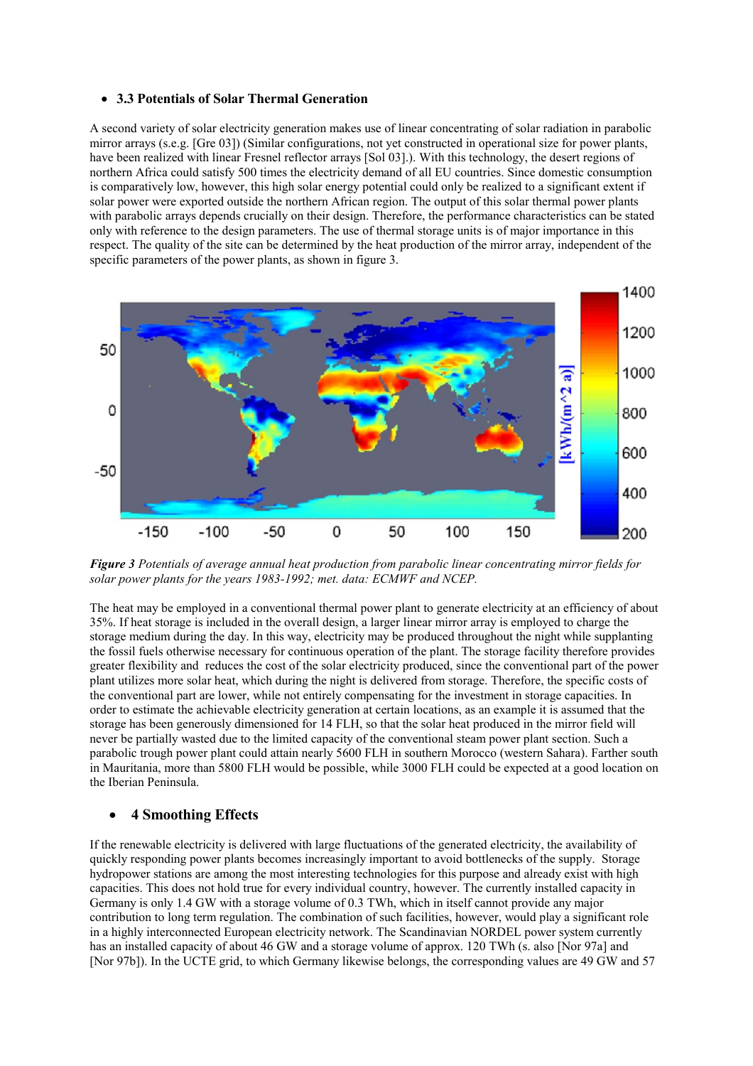#### • **3.3 Potentials of Solar Thermal Generation**

A second variety of solar electricity generation makes use of linear concentrating of solar radiation in parabolic mirror arrays (s.e.g. [Gre 03]) (Similar configurations, not yet constructed in operational size for power plants, have been realized with linear Fresnel reflector arrays [Sol 03].). With this technology, the desert regions of northern Africa could satisfy 500 times the electricity demand of all EU countries. Since domestic consumption is comparatively low, however, this high solar energy potential could only be realized to a significant extent if solar power were exported outside the northern African region. The output of this solar thermal power plants with parabolic arrays depends crucially on their design. Therefore, the performance characteristics can be stated only with reference to the design parameters. The use of thermal storage units is of major importance in this respect. The quality of the site can be determined by the heat production of the mirror array, independent of the specific parameters of the power plants, as shown in figure 3.



*Figure 3 Potentials of average annual heat production from parabolic linear concentrating mirror fields for solar power plants for the years 1983-1992; met. data: ECMWF and NCEP.* 

The heat may be employed in a conventional thermal power plant to generate electricity at an efficiency of about 35%. If heat storage is included in the overall design, a larger linear mirror array is employed to charge the storage medium during the day. In this way, electricity may be produced throughout the night while supplanting the fossil fuels otherwise necessary for continuous operation of the plant. The storage facility therefore provides greater flexibility and reduces the cost of the solar electricity produced, since the conventional part of the power plant utilizes more solar heat, which during the night is delivered from storage. Therefore, the specific costs of the conventional part are lower, while not entirely compensating for the investment in storage capacities. In order to estimate the achievable electricity generation at certain locations, as an example it is assumed that the storage has been generously dimensioned for 14 FLH, so that the solar heat produced in the mirror field will never be partially wasted due to the limited capacity of the conventional steam power plant section. Such a parabolic trough power plant could attain nearly 5600 FLH in southern Morocco (western Sahara). Farther south in Mauritania, more than 5800 FLH would be possible, while 3000 FLH could be expected at a good location on the Iberian Peninsula.

### • **4 Smoothing Effects**

If the renewable electricity is delivered with large fluctuations of the generated electricity, the availability of quickly responding power plants becomes increasingly important to avoid bottlenecks of the supply. Storage hydropower stations are among the most interesting technologies for this purpose and already exist with high capacities. This does not hold true for every individual country, however. The currently installed capacity in Germany is only 1.4 GW with a storage volume of 0.3 TWh, which in itself cannot provide any major contribution to long term regulation. The combination of such facilities, however, would play a significant role in a highly interconnected European electricity network. The Scandinavian NORDEL power system currently has an installed capacity of about 46 GW and a storage volume of approx. 120 TWh (s. also [Nor 97a] and [Nor 97b]). In the UCTE grid, to which Germany likewise belongs, the corresponding values are 49 GW and 57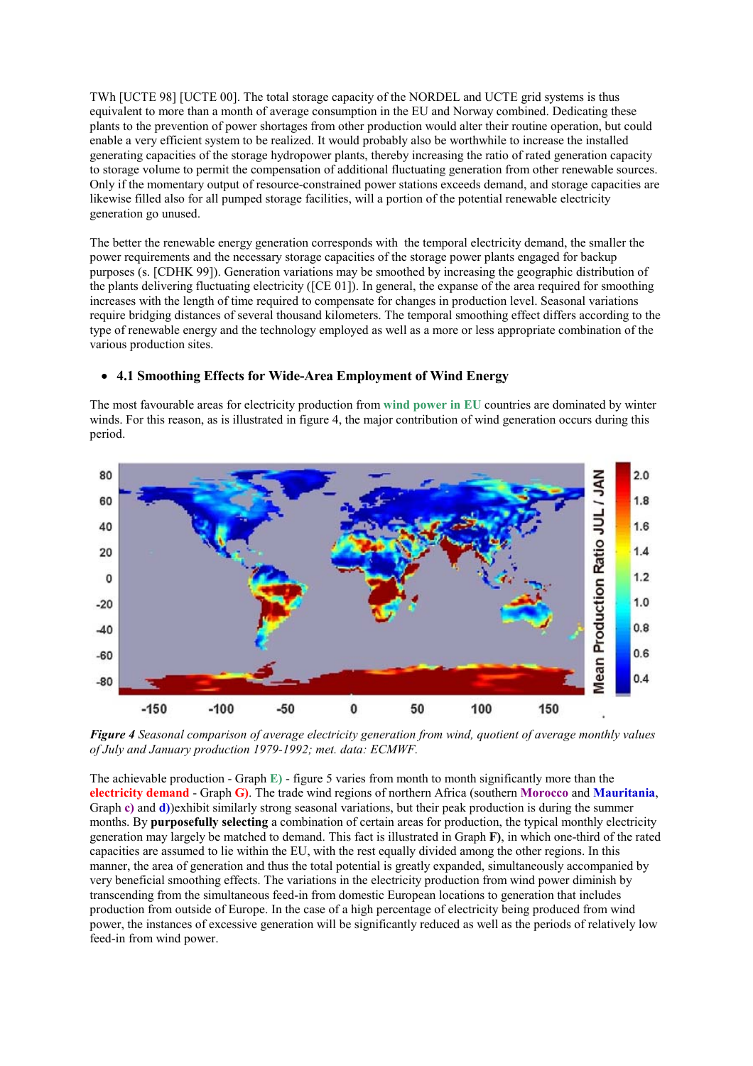TWh [UCTE 98] [UCTE 00]. The total storage capacity of the NORDEL and UCTE grid systems is thus equivalent to more than a month of average consumption in the EU and Norway combined. Dedicating these plants to the prevention of power shortages from other production would alter their routine operation, but could enable a very efficient system to be realized. It would probably also be worthwhile to increase the installed generating capacities of the storage hydropower plants, thereby increasing the ratio of rated generation capacity to storage volume to permit the compensation of additional fluctuating generation from other renewable sources. Only if the momentary output of resource-constrained power stations exceeds demand, and storage capacities are likewise filled also for all pumped storage facilities, will a portion of the potential renewable electricity generation go unused.

The better the renewable energy generation corresponds with the temporal electricity demand, the smaller the power requirements and the necessary storage capacities of the storage power plants engaged for backup purposes (s. [CDHK 99]). Generation variations may be smoothed by increasing the geographic distribution of the plants delivering fluctuating electricity ([CE 01]). In general, the expanse of the area required for smoothing increases with the length of time required to compensate for changes in production level. Seasonal variations require bridging distances of several thousand kilometers. The temporal smoothing effect differs according to the type of renewable energy and the technology employed as well as a more or less appropriate combination of the various production sites.

### • **4.1 Smoothing Effects for Wide-Area Employment of Wind Energy**

The most favourable areas for electricity production from **wind power in EU** countries are dominated by winter winds. For this reason, as is illustrated in figure 4, the major contribution of wind generation occurs during this period.



*Figure 4 Seasonal comparison of average electricity generation from wind, quotient of average monthly values of July and January production 1979-1992; met. data: ECMWF.* 

The achievable production - Graph **E)** - figure 5 varies from month to month significantly more than the **electricity demand** - Graph **G)**. The trade wind regions of northern Africa (southern **Morocco** and **Mauritania**, Graph **c)** and **d)**)exhibit similarly strong seasonal variations, but their peak production is during the summer months. By **purposefully selecting** a combination of certain areas for production, the typical monthly electricity generation may largely be matched to demand. This fact is illustrated in Graph **F)**, in which one-third of the rated capacities are assumed to lie within the EU, with the rest equally divided among the other regions. In this manner, the area of generation and thus the total potential is greatly expanded, simultaneously accompanied by very beneficial smoothing effects. The variations in the electricity production from wind power diminish by transcending from the simultaneous feed-in from domestic European locations to generation that includes production from outside of Europe. In the case of a high percentage of electricity being produced from wind power, the instances of excessive generation will be significantly reduced as well as the periods of relatively low feed-in from wind power.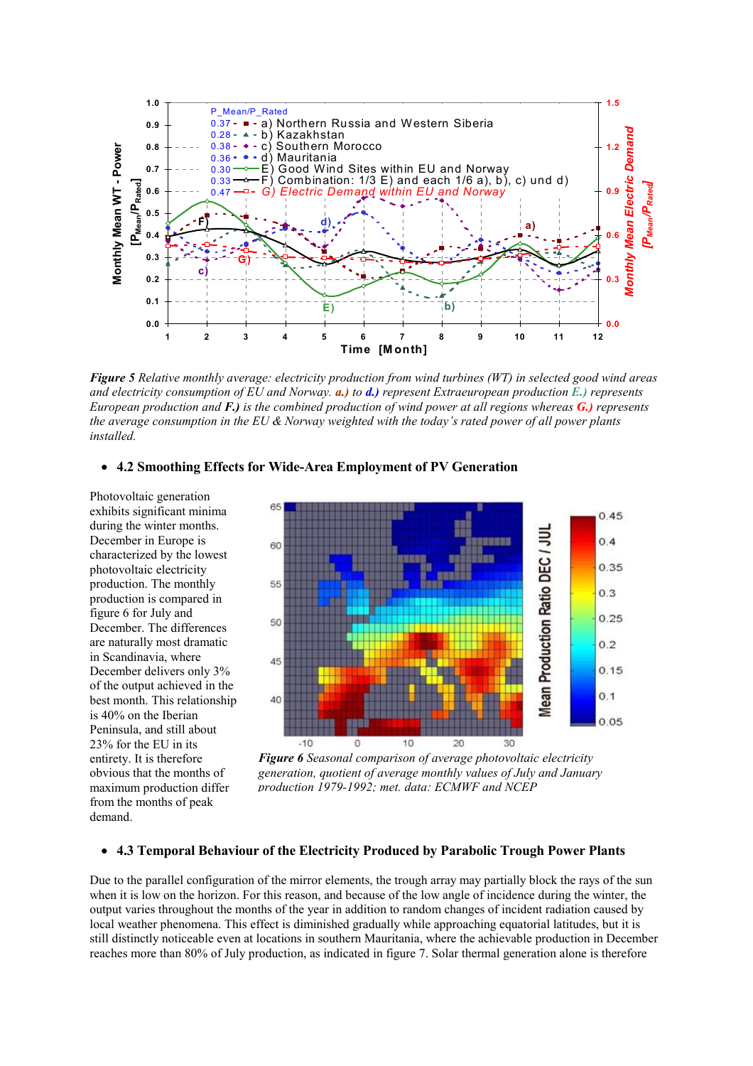

*Figure 5 Relative monthly average: electricity production from wind turbines (WT) in selected good wind areas and electricity consumption of EU and Norway. a.) to d.) represent Extraeuropean production E.) represents European production and F.) is the combined production of wind power at all regions whereas G.) represents the average consumption in the EU & Norway weighted with the today's rated power of all power plants installed.*

# • **4.2 Smoothing Effects for Wide-Area Employment of PV Generation**

Photovoltaic generation exhibits significant minima during the winter months. December in Europe is characterized by the lowest photovoltaic electricity production. The monthly production is compared in figure 6 for July and December. The differences are naturally most dramatic in Scandinavia, where December delivers only 3% of the output achieved in the best month. This relationship is 40% on the Iberian Peninsula, and still about 23% for the EU in its entirety. It is therefore obvious that the months of maximum production differ from the months of peak demand.



*Figure 6 Seasonal comparison of average photovoltaic electricity generation, quotient of average monthly values of July and January production 1979-1992; met. data: ECMWF and NCEP*

## • **4.3 Temporal Behaviour of the Electricity Produced by Parabolic Trough Power Plants**

Due to the parallel configuration of the mirror elements, the trough array may partially block the rays of the sun when it is low on the horizon. For this reason, and because of the low angle of incidence during the winter, the output varies throughout the months of the year in addition to random changes of incident radiation caused by local weather phenomena. This effect is diminished gradually while approaching equatorial latitudes, but it is still distinctly noticeable even at locations in southern Mauritania, where the achievable production in December reaches more than 80% of July production, as indicated in figure 7. Solar thermal generation alone is therefore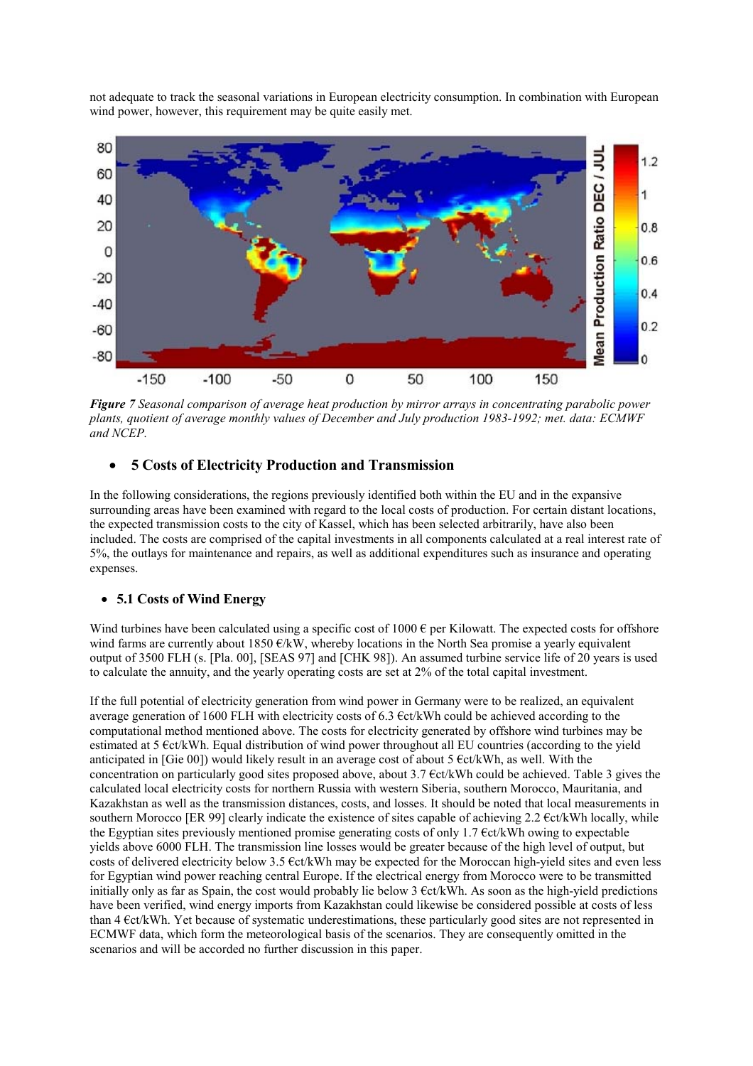not adequate to track the seasonal variations in European electricity consumption. In combination with European wind power, however, this requirement may be quite easily met.



*Figure 7 Seasonal comparison of average heat production by mirror arrays in concentrating parabolic power plants, quotient of average monthly values of December and July production 1983-1992; met. data: ECMWF and NCEP.* 

# • **5 Costs of Electricity Production and Transmission**

In the following considerations, the regions previously identified both within the EU and in the expansive surrounding areas have been examined with regard to the local costs of production. For certain distant locations, the expected transmission costs to the city of Kassel, which has been selected arbitrarily, have also been included. The costs are comprised of the capital investments in all components calculated at a real interest rate of 5%, the outlays for maintenance and repairs, as well as additional expenditures such as insurance and operating expenses.

#### • **5.1 Costs of Wind Energy**

Wind turbines have been calculated using a specific cost of 1000  $\epsilon$  per Kilowatt. The expected costs for offshore wind farms are currently about 1850  $\epsilon/kW$ , whereby locations in the North Sea promise a yearly equivalent output of 3500 FLH (s. [Pla. 00], [SEAS 97] and [CHK 98]). An assumed turbine service life of 20 years is used to calculate the annuity, and the yearly operating costs are set at 2% of the total capital investment.

If the full potential of electricity generation from wind power in Germany were to be realized, an equivalent average generation of 1600 FLH with electricity costs of 6.3 €ct/kWh could be achieved according to the computational method mentioned above. The costs for electricity generated by offshore wind turbines may be estimated at 5 €ct/kWh. Equal distribution of wind power throughout all EU countries (according to the yield anticipated in [Gie 00]) would likely result in an average cost of about  $5 \text{ }$  Ect/kWh, as well. With the concentration on particularly good sites proposed above, about 3.7 €ct/kWh could be achieved. Table 3 gives the calculated local electricity costs for northern Russia with western Siberia, southern Morocco, Mauritania, and Kazakhstan as well as the transmission distances, costs, and losses. It should be noted that local measurements in southern Morocco [ER 99] clearly indicate the existence of sites capable of achieving  $2.2 \text{ } \in \text{ct/kWh}$  locally, while the Egyptian sites previously mentioned promise generating costs of only 1.7 €ct/kWh owing to expectable yields above 6000 FLH. The transmission line losses would be greater because of the high level of output, but costs of delivered electricity below 3.5  $\epsilon t/kWh$  may be expected for the Moroccan high-yield sites and even less for Egyptian wind power reaching central Europe. If the electrical energy from Morocco were to be transmitted initially only as far as Spain, the cost would probably lie below  $3 \text{ }$  Ect/kWh. As soon as the high-yield predictions have been verified, wind energy imports from Kazakhstan could likewise be considered possible at costs of less than 4 €ct/kWh. Yet because of systematic underestimations, these particularly good sites are not represented in ECMWF data, which form the meteorological basis of the scenarios. They are consequently omitted in the scenarios and will be accorded no further discussion in this paper.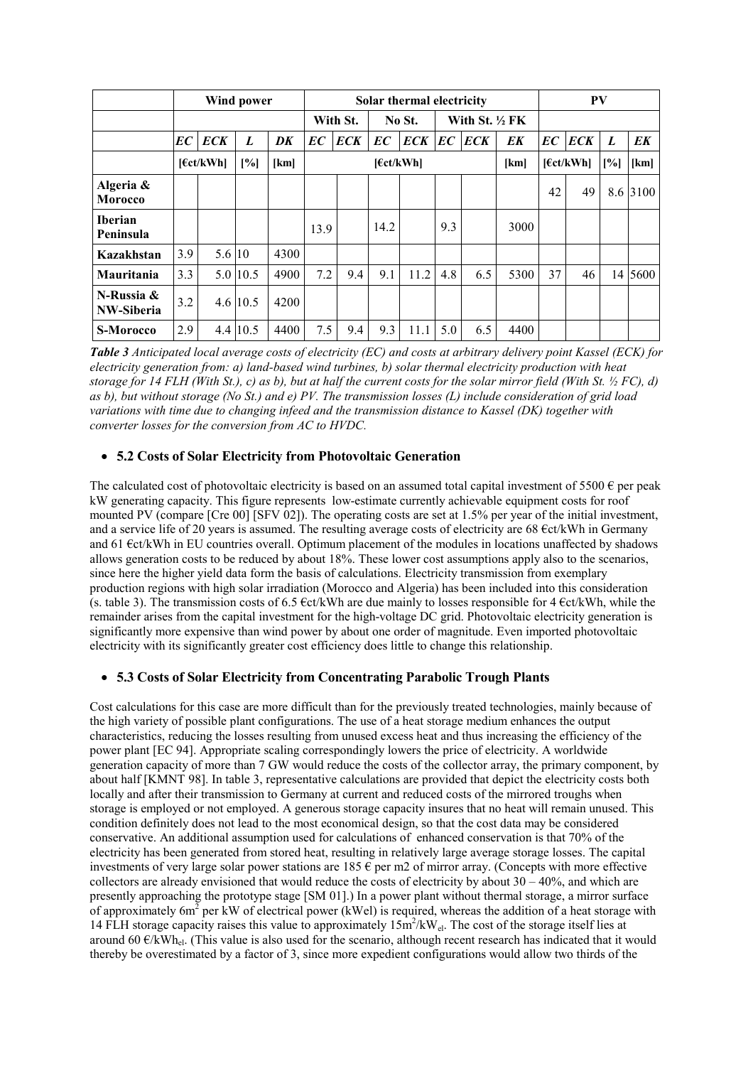|                             | Wind power |            |          |          | Solar thermal electricity |            |      |                           |     |            |           | PV |            |      |          |
|-----------------------------|------------|------------|----------|----------|---------------------------|------------|------|---------------------------|-----|------------|-----------|----|------------|------|----------|
|                             |            |            |          | With St. |                           | No St.     |      | With St. $\frac{1}{2}$ FK |     |            |           |    |            |      |          |
|                             | EC         | <b>ECK</b> | L        | DK       | EC                        | <b>ECK</b> | EC   | <b>ECK</b>                | EC  | <b>ECK</b> | EK        | EC | <b>ECK</b> | L    | EK       |
|                             | [6ct/kWh]  |            | [%]      | [km]     | [6ct/kWh]                 |            |      | [km]                      |     |            | [6ct/kWh] |    | [%]        | [km] |          |
| Algeria &<br><b>Morocco</b> |            |            |          |          |                           |            |      |                           |     |            |           | 42 | 49         |      | 8.6 3100 |
| <b>Iberian</b><br>Peninsula |            |            |          |          | 13.9                      |            | 14.2 |                           | 9.3 |            | 3000      |    |            |      |          |
| Kazakhstan                  | 3.9        | 5.6 10     |          | 4300     |                           |            |      |                           |     |            |           |    |            |      |          |
| Mauritania                  | 3.3        |            | 5.0 10.5 | 4900     | 7.2                       | 9.4        | 9.1  | 11.2                      | 4.8 | 6.5        | 5300      | 37 | 46         |      | 14 5600  |
| N-Russia &<br>NW-Siberia    | 3.2        |            | 4.6 10.5 | 4200     |                           |            |      |                           |     |            |           |    |            |      |          |
| <b>S-Morocco</b>            | 2.9        |            | 4.4 10.5 | 4400     | 7.5                       | 9.4        | 9.3  | 11.1                      | 5.0 | 6.5        | 4400      |    |            |      |          |

*Table 3 Anticipated local average costs of electricity (EC) and costs at arbitrary delivery point Kassel (ECK) for electricity generation from: a) land-based wind turbines, b) solar thermal electricity production with heat storage for 14 FLH (With St.), c) as b), but at half the current costs for the solar mirror field (With St. ½ FC), d) as b), but without storage (No St.) and e) PV. The transmission losses (L) include consideration of grid load variations with time due to changing infeed and the transmission distance to Kassel (DK) together with converter losses for the conversion from AC to HVDC.* 

# • **5.2 Costs of Solar Electricity from Photovoltaic Generation**

The calculated cost of photovoltaic electricity is based on an assumed total capital investment of 5500  $\epsilon$  per peak kW generating capacity. This figure represents low-estimate currently achievable equipment costs for roof mounted PV (compare [Cre 00] [SFV 02]). The operating costs are set at 1.5% per year of the initial investment, and a service life of 20 years is assumed. The resulting average costs of electricity are  $68 \text{ } \text{ect/kWh}$  in Germany and 61 €ct/kWh in EU countries overall. Optimum placement of the modules in locations unaffected by shadows allows generation costs to be reduced by about 18%. These lower cost assumptions apply also to the scenarios, since here the higher yield data form the basis of calculations. Electricity transmission from exemplary production regions with high solar irradiation (Morocco and Algeria) has been included into this consideration (s. table 3). The transmission costs of 6.5  $\epsilon ct/kWh$  are due mainly to losses responsible for 4  $\epsilon ct/kWh$ , while the remainder arises from the capital investment for the high-voltage DC grid. Photovoltaic electricity generation is significantly more expensive than wind power by about one order of magnitude. Even imported photovoltaic electricity with its significantly greater cost efficiency does little to change this relationship.

# • **5.3 Costs of Solar Electricity from Concentrating Parabolic Trough Plants**

Cost calculations for this case are more difficult than for the previously treated technologies, mainly because of the high variety of possible plant configurations. The use of a heat storage medium enhances the output characteristics, reducing the losses resulting from unused excess heat and thus increasing the efficiency of the power plant [EC 94]. Appropriate scaling correspondingly lowers the price of electricity. A worldwide generation capacity of more than 7 GW would reduce the costs of the collector array, the primary component, by about half [KMNT 98]. In table 3, representative calculations are provided that depict the electricity costs both locally and after their transmission to Germany at current and reduced costs of the mirrored troughs when storage is employed or not employed. A generous storage capacity insures that no heat will remain unused. This condition definitely does not lead to the most economical design, so that the cost data may be considered conservative. An additional assumption used for calculations of enhanced conservation is that 70% of the electricity has been generated from stored heat, resulting in relatively large average storage losses. The capital investments of very large solar power stations are 185  $\epsilon$  per m2 of mirror array. (Concepts with more effective collectors are already envisioned that would reduce the costs of electricity by about  $30 - 40\%$ , and which are presently approaching the prototype stage [SM 01].) In a power plant without thermal storage, a mirror surface of approximately 6m<sup>2</sup> per kW of electrical power (kWel) is required, whereas the addition of a heat storage with 14 FLH storage capacity raises this value to approximately  $15m^2/kW_{el}$ . The cost of the storage itself lies at around 60  $\epsilon$ /kWh<sub>el</sub>. (This value is also used for the scenario, although recent research has indicated that it would thereby be overestimated by a factor of 3, since more expedient configurations would allow two thirds of the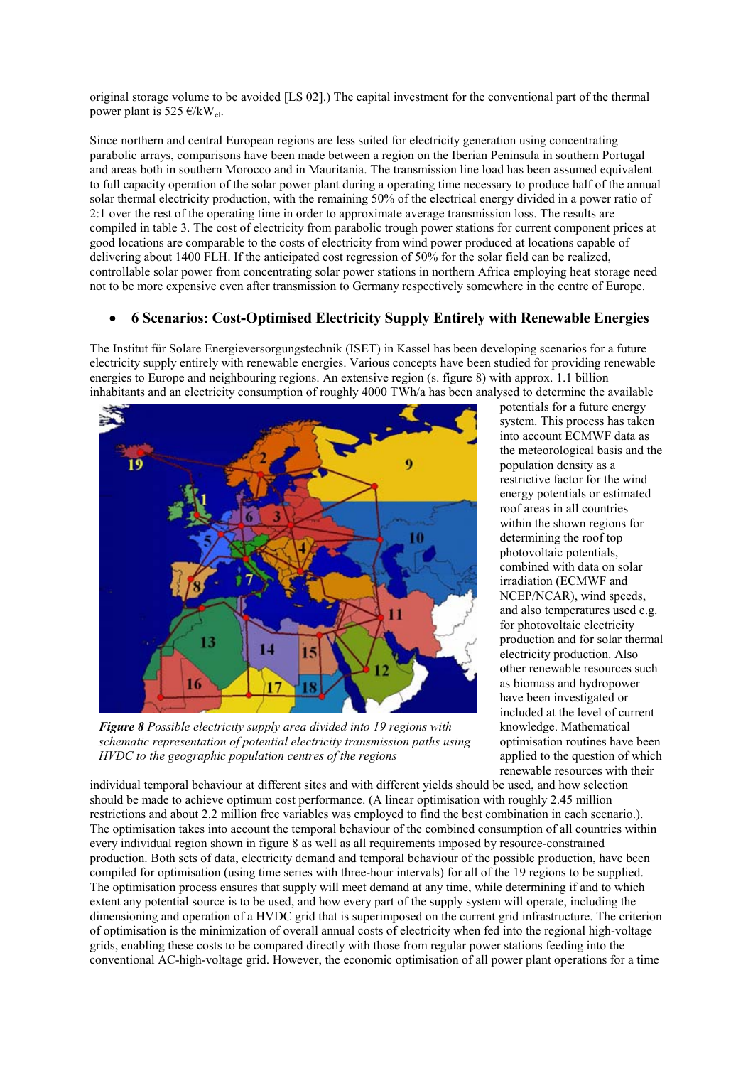original storage volume to be avoided [LS 02].) The capital investment for the conventional part of the thermal power plant is 525  $\epsilon$ /kW<sub>el</sub>.

Since northern and central European regions are less suited for electricity generation using concentrating parabolic arrays, comparisons have been made between a region on the Iberian Peninsula in southern Portugal and areas both in southern Morocco and in Mauritania. The transmission line load has been assumed equivalent to full capacity operation of the solar power plant during a operating time necessary to produce half of the annual solar thermal electricity production, with the remaining 50% of the electrical energy divided in a power ratio of 2:1 over the rest of the operating time in order to approximate average transmission loss. The results are compiled in table 3. The cost of electricity from parabolic trough power stations for current component prices at good locations are comparable to the costs of electricity from wind power produced at locations capable of delivering about 1400 FLH. If the anticipated cost regression of 50% for the solar field can be realized, controllable solar power from concentrating solar power stations in northern Africa employing heat storage need not to be more expensive even after transmission to Germany respectively somewhere in the centre of Europe.

# • **6 Scenarios: Cost-Optimised Electricity Supply Entirely with Renewable Energies**

The Institut für Solare Energieversorgungstechnik (ISET) in Kassel has been developing scenarios for a future electricity supply entirely with renewable energies. Various concepts have been studied for providing renewable energies to Europe and neighbouring regions. An extensive region (s. figure 8) with approx. 1.1 billion inhabitants and an electricity consumption of roughly 4000 TWh/a has been analysed to determine the available



*Figure 8 Possible electricity supply area divided into 19 regions with schematic representation of potential electricity transmission paths using HVDC to the geographic population centres of the regions*

potentials for a future energy system. This process has taken into account ECMWF data as the meteorological basis and the population density as a restrictive factor for the wind energy potentials or estimated roof areas in all countries within the shown regions for determining the roof top photovoltaic potentials, combined with data on solar irradiation (ECMWF and NCEP/NCAR), wind speeds, and also temperatures used e.g. for photovoltaic electricity production and for solar thermal electricity production. Also other renewable resources such as biomass and hydropower have been investigated or included at the level of current knowledge. Mathematical optimisation routines have been applied to the question of which renewable resources with their

individual temporal behaviour at different sites and with different yields should be used, and how selection should be made to achieve optimum cost performance. (A linear optimisation with roughly 2.45 million restrictions and about 2.2 million free variables was employed to find the best combination in each scenario.). The optimisation takes into account the temporal behaviour of the combined consumption of all countries within every individual region shown in figure 8 as well as all requirements imposed by resource-constrained production. Both sets of data, electricity demand and temporal behaviour of the possible production, have been compiled for optimisation (using time series with three-hour intervals) for all of the 19 regions to be supplied. The optimisation process ensures that supply will meet demand at any time, while determining if and to which extent any potential source is to be used, and how every part of the supply system will operate, including the dimensioning and operation of a HVDC grid that is superimposed on the current grid infrastructure. The criterion of optimisation is the minimization of overall annual costs of electricity when fed into the regional high-voltage grids, enabling these costs to be compared directly with those from regular power stations feeding into the conventional AC-high-voltage grid. However, the economic optimisation of all power plant operations for a time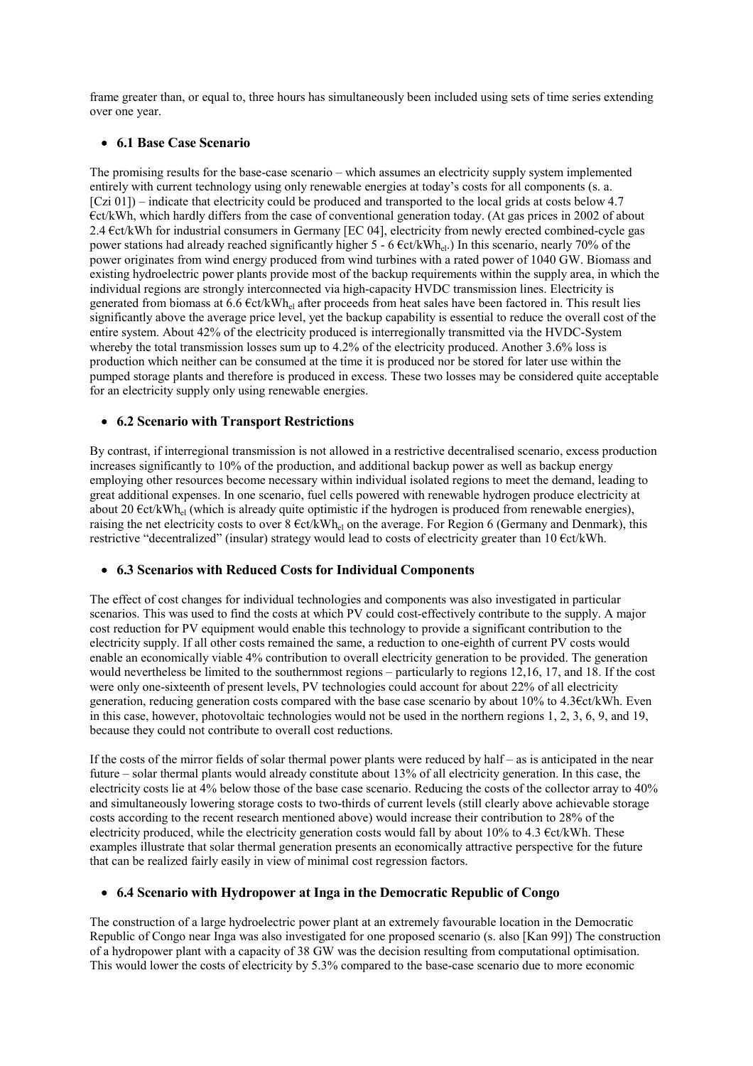frame greater than, or equal to, three hours has simultaneously been included using sets of time series extending over one year.

# • **6.1 Base Case Scenario**

The promising results for the base-case scenario – which assumes an electricity supply system implemented entirely with current technology using only renewable energies at today's costs for all components (s. a. [Czi 01]) – indicate that electricity could be produced and transported to the local grids at costs below 4.7 €ct/kWh, which hardly differs from the case of conventional generation today. (At gas prices in 2002 of about 2.4 €ct/kWh for industrial consumers in Germany [EC 04], electricity from newly erected combined-cycle gas power stations had already reached significantly higher 5 - 6 €ct/kWhel.) In this scenario, nearly 70% of the power originates from wind energy produced from wind turbines with a rated power of 1040 GW. Biomass and existing hydroelectric power plants provide most of the backup requirements within the supply area, in which the individual regions are strongly interconnected via high-capacity HVDC transmission lines. Electricity is generated from biomass at 6.6 €ct/kWhel after proceeds from heat sales have been factored in. This result lies significantly above the average price level, yet the backup capability is essential to reduce the overall cost of the entire system. About 42% of the electricity produced is interregionally transmitted via the HVDC-System whereby the total transmission losses sum up to 4.2% of the electricity produced. Another 3.6% loss is production which neither can be consumed at the time it is produced nor be stored for later use within the pumped storage plants and therefore is produced in excess. These two losses may be considered quite acceptable for an electricity supply only using renewable energies.

### • **6.2 Scenario with Transport Restrictions**

By contrast, if interregional transmission is not allowed in a restrictive decentralised scenario, excess production increases significantly to 10% of the production, and additional backup power as well as backup energy employing other resources become necessary within individual isolated regions to meet the demand, leading to great additional expenses. In one scenario, fuel cells powered with renewable hydrogen produce electricity at about 20  $\epsilon$ ct/kWh<sub>el</sub> (which is already quite optimistic if the hydrogen is produced from renewable energies), raising the net electricity costs to over  $8 \text{ Ect/kWh}_{el}$  on the average. For Region 6 (Germany and Denmark), this restrictive "decentralized" (insular) strategy would lead to costs of electricity greater than 10 €ct/kWh.

#### • **6.3 Scenarios with Reduced Costs for Individual Components**

The effect of cost changes for individual technologies and components was also investigated in particular scenarios. This was used to find the costs at which PV could cost-effectively contribute to the supply. A major cost reduction for PV equipment would enable this technology to provide a significant contribution to the electricity supply. If all other costs remained the same, a reduction to one-eighth of current PV costs would enable an economically viable 4% contribution to overall electricity generation to be provided. The generation would nevertheless be limited to the southernmost regions – particularly to regions 12,16, 17, and 18. If the cost were only one-sixteenth of present levels, PV technologies could account for about 22% of all electricity generation, reducing generation costs compared with the base case scenario by about 10% to 4.3€ct/kWh. Even in this case, however, photovoltaic technologies would not be used in the northern regions 1, 2, 3, 6, 9, and 19, because they could not contribute to overall cost reductions.

If the costs of the mirror fields of solar thermal power plants were reduced by half – as is anticipated in the near future – solar thermal plants would already constitute about 13% of all electricity generation. In this case, the electricity costs lie at 4% below those of the base case scenario. Reducing the costs of the collector array to 40% and simultaneously lowering storage costs to two-thirds of current levels (still clearly above achievable storage costs according to the recent research mentioned above) would increase their contribution to 28% of the electricity produced, while the electricity generation costs would fall by about 10% to 4.3 €ct/kWh. These examples illustrate that solar thermal generation presents an economically attractive perspective for the future that can be realized fairly easily in view of minimal cost regression factors.

### • **6.4 Scenario with Hydropower at Inga in the Democratic Republic of Congo**

The construction of a large hydroelectric power plant at an extremely favourable location in the Democratic Republic of Congo near Inga was also investigated for one proposed scenario (s. also [Kan 99]) The construction of a hydropower plant with a capacity of 38 GW was the decision resulting from computational optimisation. This would lower the costs of electricity by 5.3% compared to the base-case scenario due to more economic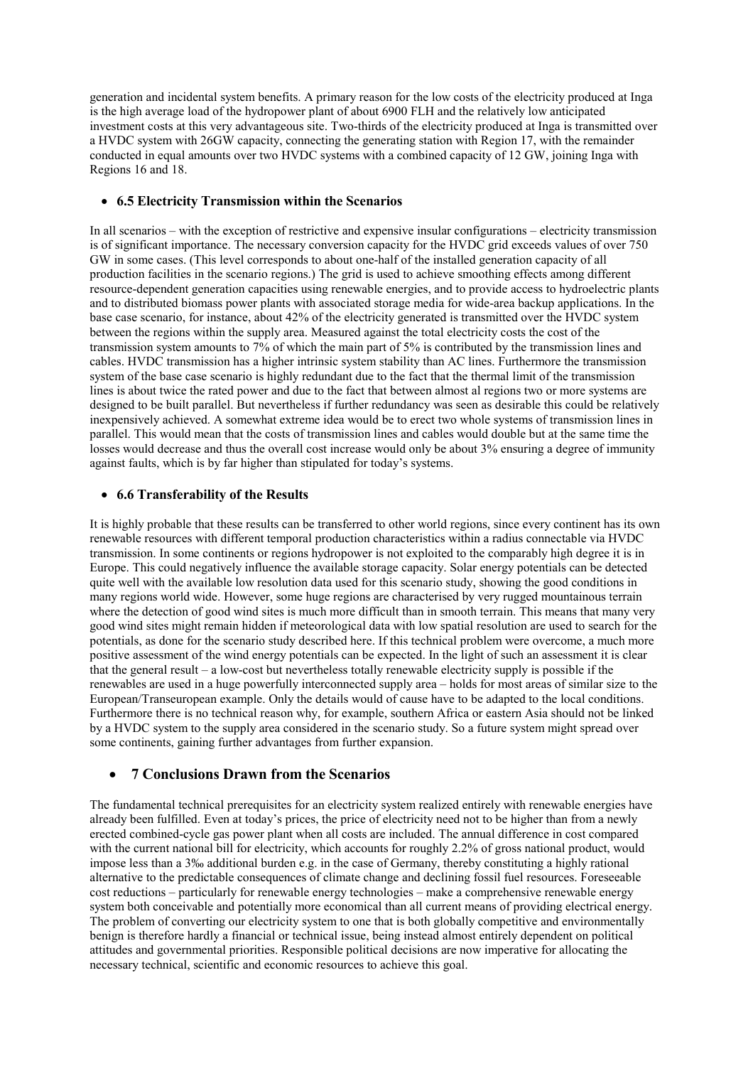generation and incidental system benefits. A primary reason for the low costs of the electricity produced at Inga is the high average load of the hydropower plant of about 6900 FLH and the relatively low anticipated investment costs at this very advantageous site. Two-thirds of the electricity produced at Inga is transmitted over a HVDC system with 26GW capacity, connecting the generating station with Region 17, with the remainder conducted in equal amounts over two HVDC systems with a combined capacity of 12 GW, joining Inga with Regions 16 and 18.

# • **6.5 Electricity Transmission within the Scenarios**

In all scenarios – with the exception of restrictive and expensive insular configurations – electricity transmission is of significant importance. The necessary conversion capacity for the HVDC grid exceeds values of over 750 GW in some cases. (This level corresponds to about one-half of the installed generation capacity of all production facilities in the scenario regions.) The grid is used to achieve smoothing effects among different resource-dependent generation capacities using renewable energies, and to provide access to hydroelectric plants and to distributed biomass power plants with associated storage media for wide-area backup applications. In the base case scenario, for instance, about 42% of the electricity generated is transmitted over the HVDC system between the regions within the supply area. Measured against the total electricity costs the cost of the transmission system amounts to 7% of which the main part of 5% is contributed by the transmission lines and cables. HVDC transmission has a higher intrinsic system stability than AC lines. Furthermore the transmission system of the base case scenario is highly redundant due to the fact that the thermal limit of the transmission lines is about twice the rated power and due to the fact that between almost al regions two or more systems are designed to be built parallel. But nevertheless if further redundancy was seen as desirable this could be relatively inexpensively achieved. A somewhat extreme idea would be to erect two whole systems of transmission lines in parallel. This would mean that the costs of transmission lines and cables would double but at the same time the losses would decrease and thus the overall cost increase would only be about 3% ensuring a degree of immunity against faults, which is by far higher than stipulated for today's systems.

# • **6.6 Transferability of the Results**

It is highly probable that these results can be transferred to other world regions, since every continent has its own renewable resources with different temporal production characteristics within a radius connectable via HVDC transmission. In some continents or regions hydropower is not exploited to the comparably high degree it is in Europe. This could negatively influence the available storage capacity. Solar energy potentials can be detected quite well with the available low resolution data used for this scenario study, showing the good conditions in many regions world wide. However, some huge regions are characterised by very rugged mountainous terrain where the detection of good wind sites is much more difficult than in smooth terrain. This means that many very good wind sites might remain hidden if meteorological data with low spatial resolution are used to search for the potentials, as done for the scenario study described here. If this technical problem were overcome, a much more positive assessment of the wind energy potentials can be expected. In the light of such an assessment it is clear that the general result – a low-cost but nevertheless totally renewable electricity supply is possible if the renewables are used in a huge powerfully interconnected supply area – holds for most areas of similar size to the European/Transeuropean example. Only the details would of cause have to be adapted to the local conditions. Furthermore there is no technical reason why, for example, southern Africa or eastern Asia should not be linked by a HVDC system to the supply area considered in the scenario study. So a future system might spread over some continents, gaining further advantages from further expansion.

# • **7 Conclusions Drawn from the Scenarios**

The fundamental technical prerequisites for an electricity system realized entirely with renewable energies have already been fulfilled. Even at today's prices, the price of electricity need not to be higher than from a newly erected combined-cycle gas power plant when all costs are included. The annual difference in cost compared with the current national bill for electricity, which accounts for roughly 2.2% of gross national product, would impose less than a 3‰ additional burden e.g. in the case of Germany, thereby constituting a highly rational alternative to the predictable consequences of climate change and declining fossil fuel resources. Foreseeable cost reductions – particularly for renewable energy technologies – make a comprehensive renewable energy system both conceivable and potentially more economical than all current means of providing electrical energy. The problem of converting our electricity system to one that is both globally competitive and environmentally benign is therefore hardly a financial or technical issue, being instead almost entirely dependent on political attitudes and governmental priorities. Responsible political decisions are now imperative for allocating the necessary technical, scientific and economic resources to achieve this goal.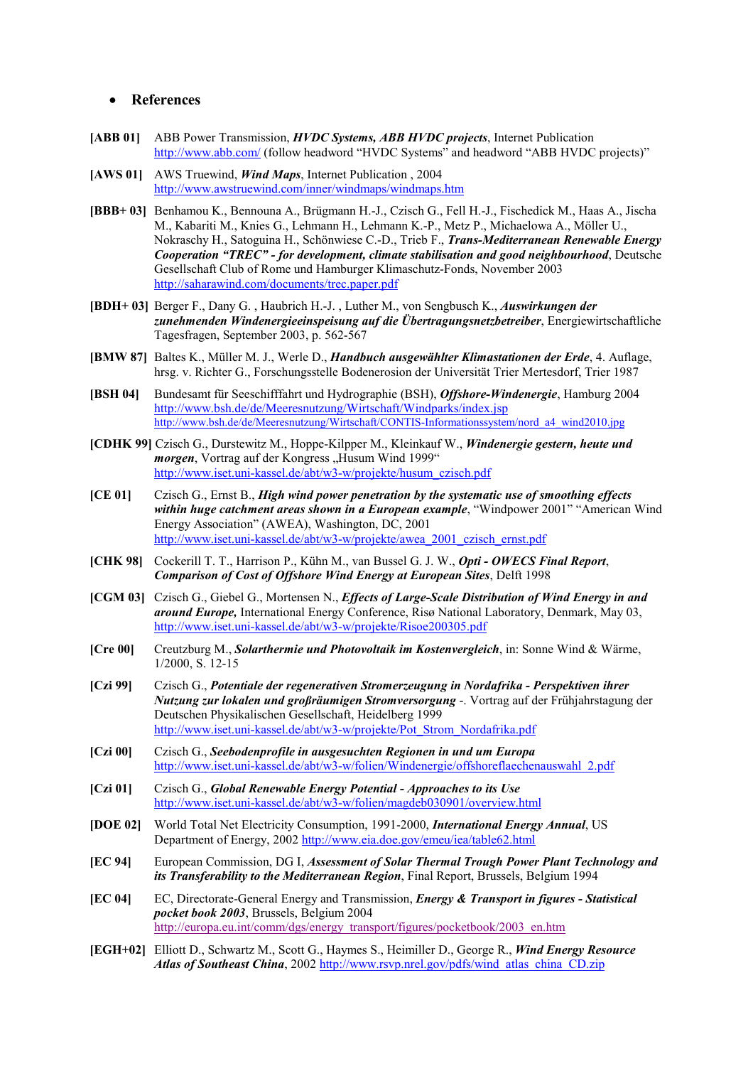### • **References**

- **[ABB 01]** ABB Power Transmission, *HVDC Systems, ABB HVDC projects*, Internet Publication <http://www.abb.com/>(follow headword "HVDC Systems" and headword "ABB HVDC projects)"
- **[AWS 01]** AWS Truewind, *Wind Maps*, Internet Publication , 2004 <http://www.awstruewind.com/inner/windmaps/windmaps.htm>
- **[BBB+ 03]** Benhamou K., Bennouna A., Brügmann H.-J., Czisch G., Fell H.-J., Fischedick M., Haas A., Jischa M., Kabariti M., Knies G., Lehmann H., Lehmann K.-P., Metz P., Michaelowa A., Möller U., Nokraschy H., Satoguina H., Schönwiese C.-D., Trieb F., *Trans-Mediterranean Renewable Energy Cooperation "TREC" - for development, climate stabilisation and good neighbourhood*, Deutsche Gesellschaft Club of Rome und Hamburger Klimaschutz-Fonds, November 2003 <http://saharawind.com/documents/trec.paper.pdf>
- **[BDH+ 03]** Berger F., Dany G. , Haubrich H.-J. , Luther M., von Sengbusch K., *Auswirkungen der zunehmenden Windenergieeinspeisung auf die Übertragungsnetzbetreiber*, Energiewirtschaftliche Tagesfragen, September 2003, p. 562-567
- **[BMW 87]** Baltes K., Müller M. J., Werle D., *Handbuch ausgewählter Klimastationen der Erde*, 4. Auflage, hrsg. v. Richter G., Forschungsstelle Bodenerosion der Universität Trier Mertesdorf, Trier 1987
- **[BSH 04]** Bundesamt für Seeschifffahrt und Hydrographie (BSH), *Offshore-Windenergie*, Hamburg 2004 <http://www.bsh.de/de/Meeresnutzung/Wirtschaft/Windparks/index.jsp> [http://www.bsh.de/de/Meeresnutzung/Wirtschaft/CONTIS-Informationssystem/nord\\_a4\\_wind2010.jpg](http://www.bsh.de/de/Meeresnutzung/Wirtschaft/CONTIS-Informationssystem/nord_a4_wind2010.jpg)
- **[CDHK 99]** Czisch G., Durstewitz M., Hoppe-Kilpper M., Kleinkauf W., *Windenergie gestern, heute und morgen*, Vortrag auf der Kongress "Husum Wind 1999" [http://www.iset.uni-kassel.de/abt/w3-w/projekte/husum\\_czisch.pdf](http://www.iset.uni-kassel.de/abt/w3-w/projekte/husum_czisch.pdf)
- **[CE 01]** Czisch G., Ernst B., *High wind power penetration by the systematic use of smoothing effects within huge catchment areas shown in a European example*, "Windpower 2001" "American Wind Energy Association" (AWEA), Washington, DC, 2001 [http://www.iset.uni-kassel.de/abt/w3-w/projekte/awea\\_2001\\_czisch\\_ernst.pdf](http://www.iset.uni-kassel.de/abt/w3-w/projekte/awea_2001_czisch_ernst.pdf)
- **[CHK 98]** Cockerill T. T., Harrison P., Kühn M., van Bussel G. J. W., *Opti OWECS Final Report*, *Comparison of Cost of Offshore Wind Energy at European Sites*, Delft 1998
- **[CGM 03]** Czisch G., Giebel G., Mortensen N., *Effects of Large-Scale Distribution of Wind Energy in and around Europe,* International Energy Conference, Risø National Laboratory, Denmark, May 03, <http://www.iset.uni-kassel.de/abt/w3-w/projekte/Risoe200305.pdf>
- **[Cre 00]** Creutzburg M., *Solarthermie und Photovoltaik im Kostenvergleich*, in: Sonne Wind & Wärme, 1/2000, S. 12-15
- **[Czi 99]** Czisch G., *Potentiale der regenerativen Stromerzeugung in Nordafrika Perspektiven ihrer Nutzung zur lokalen und großräumigen Stromversorgung* -. Vortrag auf der Frühjahrstagung der Deutschen Physikalischen Gesellschaft, Heidelberg 1999 [http://www.iset.uni-kassel.de/abt/w3-w/projekte/Pot\\_Strom\\_Nordafrika.pdf](http://www.iset.uni-kassel.de/abt/w3-w/projekte/Pot_Strom_Nordafrika.pdf)
- **[Czi 00]** Czisch G., *Seebodenprofile in ausgesuchten Regionen in und um Europa* [http://www.iset.uni-kassel.de/abt/w3-w/folien/Windenergie/offshoreflaechenauswahl\\_2.pdf](http://www.iset.uni-kassel.de/abt/w3-w/folien/Windenergie/offshoreflaechenauswahl_2.pdf)
- **[Czi 01]** Czisch G., *Global Renewable Energy Potential Approaches to its Use* <http://www.iset.uni-kassel.de/abt/w3-w/folien/magdeb030901/overview.html>
- **[DOE 02]** World Total Net Electricity Consumption, 1991-2000, *International Energy Annual*, US Department of Energy, 2002<http://www.eia.doe.gov/emeu/iea/table62.html>
- **[EC 94]** European Commission, DG I, *Assessment of Solar Thermal Trough Power Plant Technology and its Transferability to the Mediterranean Region*, Final Report, Brussels, Belgium 1994
- **[EC 04]** EC, Directorate-General Energy and Transmission, *Energy & Transport in figures Statistical pocket book 2003*, Brussels, Belgium 2004 [http://europa.eu.int/comm/dgs/energy\\_transport/figures/pocketbook/2003\\_en.htm](http://europa.eu.int/comm/dgs/energy_transport/figures/pocketbook/2003_en.htm)
- **[EGH+02]** Elliott D., Schwartz M., Scott G., Haymes S., Heimiller D., George R., *Wind Energy Resource Atlas of Southeast China*, 2002 [http://www.rsvp.nrel.gov/pdfs/wind\\_atlas\\_china\\_CD.zip](http://www.rsvp.nrel.gov/pdfs/wind_atlas_china_CD.zip)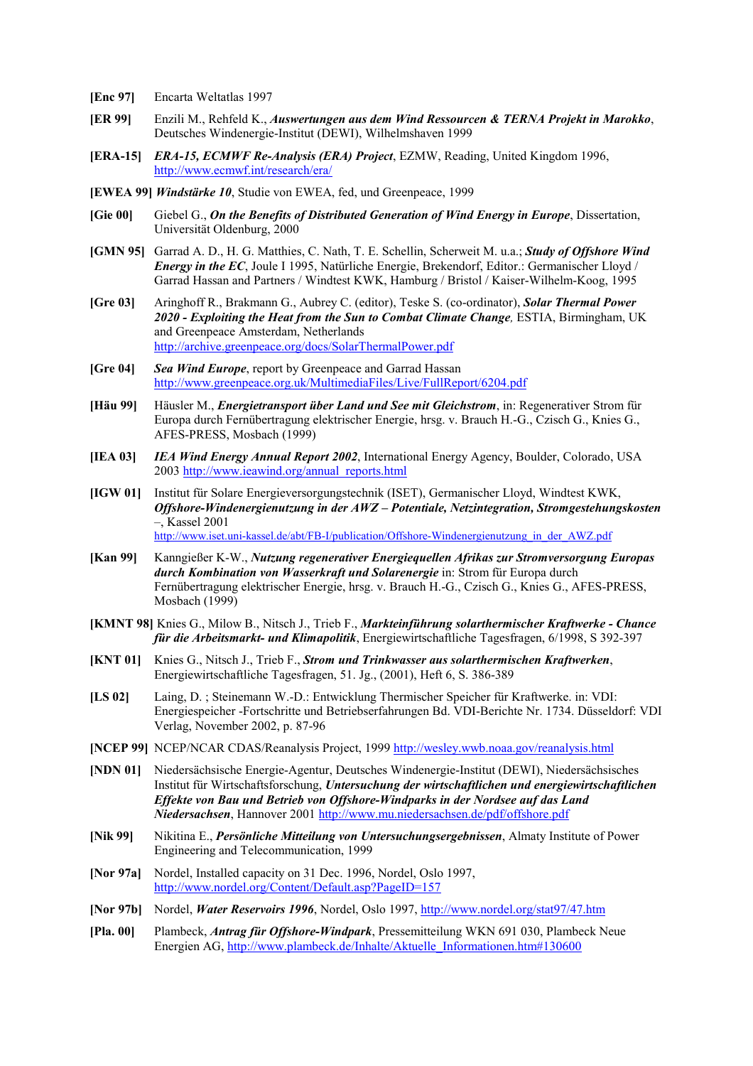- **[Enc 97]** Encarta Weltatlas 1997
- **[ER 99]** Enzili M., Rehfeld K., *Auswertungen aus dem Wind Ressourcen & TERNA Projekt in Marokko*, Deutsches Windenergie-Institut (DEWI), Wilhelmshaven 1999
- **[ERA-15]** *ERA-15, ECMWF Re-Analysis (ERA) Project*, EZMW, Reading, United Kingdom 1996, <http://www.ecmwf.int/research/era/>
- **[EWEA 99]** *Windstärke 10*, Studie von EWEA, fed, und Greenpeace, 1999
- **[Gie 00]** Giebel G., *On the Benefits of Distributed Generation of Wind Energy in Europe*, Dissertation, Universität Oldenburg, 2000
- **[GMN 95]** Garrad A. D., H. G. Matthies, C. Nath, T. E. Schellin, Scherweit M. u.a.; *Study of Offshore Wind Energy in the EC*, Joule I 1995, Natürliche Energie, Brekendorf, Editor.: Germanischer Lloyd / Garrad Hassan and Partners / Windtest KWK, Hamburg / Bristol / Kaiser-Wilhelm-Koog, 1995
- **[Gre 03]** Aringhoff R., Brakmann G., Aubrey C. (editor), Teske S. (co-ordinator), *Solar Thermal Power 2020 - Exploiting the Heat from the Sun to Combat Climate Change,* ESTIA, Birmingham, UK and Greenpeace Amsterdam, Netherlands <http://archive.greenpeace.org/docs/SolarThermalPower.pdf>
- **[Gre 04]** *Sea Wind Europe*, report by Greenpeace and Garrad Hassan <http://www.greenpeace.org.uk/MultimediaFiles/Live/FullReport/6204.pdf>
- **[Häu 99]** Häusler M., *Energietransport über Land und See mit Gleichstrom*, in: Regenerativer Strom für Europa durch Fernübertragung elektrischer Energie, hrsg. v. Brauch H.-G., Czisch G., Knies G., AFES-PRESS, Mosbach (1999)
- **[IEA 03]** *IEA Wind Energy Annual Report 2002*, International Energy Agency, Boulder, Colorado, USA 2003 [http://www.ieawind.org/annual\\_reports.html](http://www.ieawind.org/annual_reports.html)
- **[IGW 01]** Institut für Solare Energieversorgungstechnik (ISET), Germanischer Lloyd, Windtest KWK, *Offshore-Windenergienutzung in der AWZ – Potentiale, Netzintegration, Stromgestehungskosten* –, Kassel 2001 [http://www.iset.uni-kassel.de/abt/FB-I/publication/Offshore-Windenergienutzung\\_in\\_der\\_AWZ.pdf](http://www.iset.uni-kassel.de/abt/FB-I/publication/Offshore-Windenergienutzung_in_der_AWZ.pdf)
- **[Kan 99]** Kanngießer K-W., *Nutzung regenerativer Energiequellen Afrikas zur Stromversorgung Europas durch Kombination von Wasserkraft und Solarenergie* in: Strom für Europa durch Fernübertragung elektrischer Energie, hrsg. v. Brauch H.-G., Czisch G., Knies G., AFES-PRESS, Mosbach (1999)
- **[KMNT 98]** Knies G., Milow B., Nitsch J., Trieb F., *Markteinführung solarthermischer Kraftwerke Chance für die Arbeitsmarkt- und Klimapolitik*, Energiewirtschaftliche Tagesfragen, 6/1998, S 392-397
- **[KNT 01]** Knies G., Nitsch J., Trieb F., *Strom und Trinkwasser aus solarthermischen Kraftwerken*, Energiewirtschaftliche Tagesfragen, 51. Jg., (2001), Heft 6, S. 386-389
- **[LS 02]** Laing, D. ; Steinemann W.-D.: Entwicklung Thermischer Speicher für Kraftwerke. in: VDI: Energiespeicher -Fortschritte und Betriebserfahrungen Bd. VDI-Berichte Nr. 1734. Düsseldorf: VDI Verlag, November 2002, p. 87-96
- **[NCEP 99]** NCEP/NCAR CDAS/Reanalysis Project, 1999 <http://wesley.wwb.noaa.gov/reanalysis.html>
- **[NDN 01]** Niedersächsische Energie-Agentur, Deutsches Windenergie-Institut (DEWI), Niedersächsisches Institut für Wirtschaftsforschung, *Untersuchung der wirtschaftlichen und energiewirtschaftlichen Effekte von Bau und Betrieb von Offshore-Windparks in der Nordsee auf das Land Niedersachsen*, Hannover 2001 <http://www.mu.niedersachsen.de/pdf/offshore.pdf>
- **[Nik 99]** Nikitina E., *Persönliche Mitteilung von Untersuchungsergebnissen*, Almaty Institute of Power Engineering and Telecommunication, 1999
- [Nor 97a] Nordel, Installed capacity on 31 Dec. 1996, Nordel, Oslo 1997, <http://www.nordel.org/Content/Default.asp?PageID=157>
- **[Nor 97b]** Nordel, *Water Reservoirs 1996*, Nordel, Oslo 1997, <http://www.nordel.org/stat97/47.htm>
- **[Pla. 00]** Plambeck, *Antrag für Offshore-Windpark*, Pressemitteilung WKN 691 030, Plambeck Neue Energien AG, [http://www.plambeck.de/Inhalte/Aktuelle\\_Informationen.htm#130600](http://www.plambeck.de/Inhalte/Aktuelle_Informationen.htm#130600)